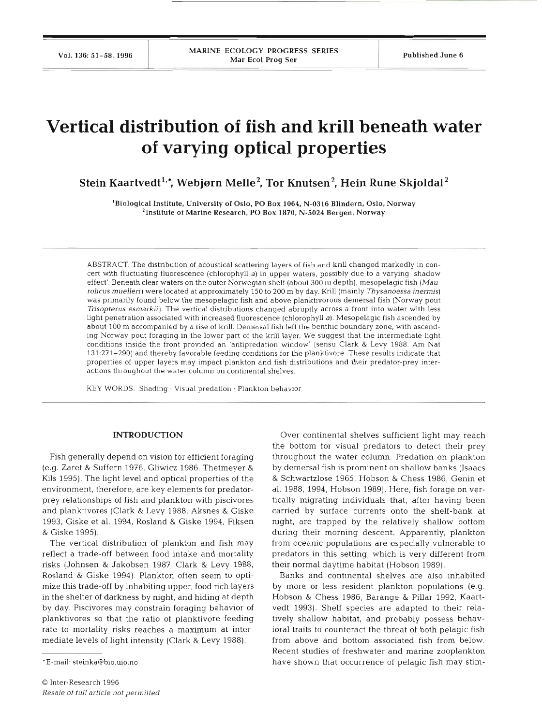Vol. 136: 51–58, 1996 MARINE ECOLOGY PROGRESS SERIES Published June 6

# **Vertical distribution of fish and krill beneath water of varying optical properties**

Stein Kaartvedt<sup>1,\*</sup>, Webjørn Melle<sup>2</sup>, Tor Knutsen<sup>2</sup>, Hein Rune Skjoldal<sup>2</sup>

'Biological Institute, University of Oslo, PO Box 1064. N-0316 Blindern, Oslo, Norway <sup>2</sup>Institute of Marine Research, PO Box 1870, N-5024 Bergen, Norway

ABSTRACT: The distribution of acoustical scattering layers of fish and knll changed markedly in concert with fluctuating fluorescence (chlorophyll a) in upper waters, possibly due to a varying 'shadow effect'. Beneath clear waters on the outer Norwegian shelf (about 300 m depth), mesopelagic fish (Maurolicus muelleri) were located at approximately 150 to 200 m by day. Krill (mainly Thysanoessa inermis) was primarily found below the mesopelagic fish and above planktivorous demersal fish (Norway pout Trisopterus esmarkii). The vertical distributions changed abruptly across a front into water with less light penetration associated with increased fluorescence (chlorophyll a). Mesopelagic fish ascended by about 100 m accompanied by a rise of **knll.** Demersal fish left the benthic boundary zone, with ascending Norway pout foraging in the lower part of the krill layer. We suggest that the intermediate light conditions inside the front provided an 'antipredation window' (sensu Clark & Levy 1988: **Am** Nat 131:271-290) and thereby favorable feeding conditions for the planktivore These results indicate that properties of upper layers may impact plankton and fish distributions and their predator-prey interactions throughout the water column on continental shelves.

KEY WORDS: Shading . Visual predation - Plankton behavior

## **INTRODUCTION**

Fish generally depend on vision for efficient foraging (e.g. Zaret & Suffern 1976, Gliwicz 1986, Thetmeyer & Kils 1995). The light level and optical properties of the environment, therefore, are key elements for predatorprey relationships of fish and plankton with piscivores and planktivores (Clark & Levy 1988, Aksnes & Giske 1993, Giske et al. 1994, Rosland & Giske 1994, Fiksen & Giske 1995).

The vertical distribution of plankton and fish may reflect a trade-off between food intake and mortality risks (Johnsen & Jakobsen 1987, Clark & Levy 1988, Rosland & Giske 1994). Plankton often seem to optimize this trade-off by inhabiting upper, food rich layers in the shelter of darkness by night, and hiding at depth by day. Piscivores may constrain foraging behavior of planktivores so that the ratio of planktivore feeding rate to mortality risks reaches a maximum at intermediate levels of light intensity (Clark & Levy 1988).

Over continental shelves sufficient light may reach the bottom for visual predators to detect their prey throughout the water column. Predation on plankton by demersal fish is prominent on shallow banks (Isaacs & Schwartzlose 1965, Hobson & Chess 1986, Genin et al. 1988, 1994, Hobson 1989). Here, fish forage on vertically migrating individuals that, after having been carried by surface currents onto the shelf-bank at night, are trapped by the relatively shallow bottom during their morning descent. Apparently, plankton from oceanic populations are especially vulnerable to predators in this setting, which is very different from their normal daytime habitat (Hobson 1989).

Banks and continental shelves are also inhabite by more or less resident plankton populations (e.g. Hobson & Chess 1986, Barange & Pillar 1992, Kaartvedt 1993). Shelf species are adapted to their relatively shallow habitat, and probably possess behavioral traits to counteract the threat of both pelagic fish from above and bottom associated fish from below. Recent studies of freshwater and marine zooplankton have shown that occurrence of pelagic fish may stim-

<sup>&#</sup>x27;E-mail: steinka@bio.uio.no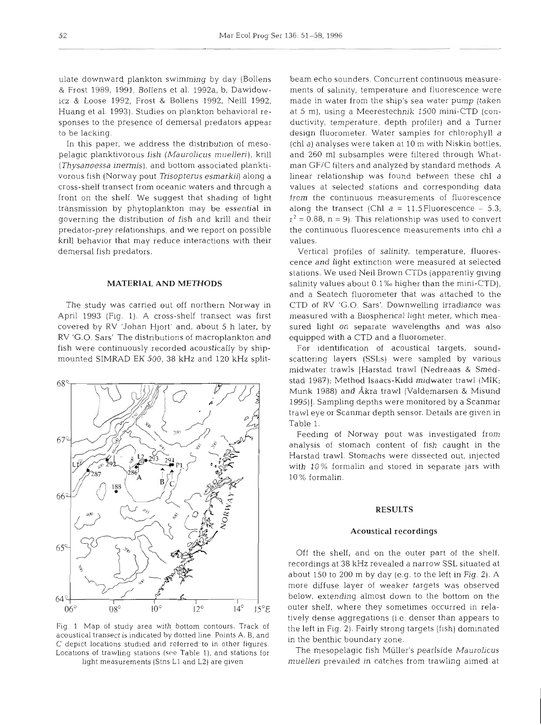ulate downward plankton swimming by day (Bollens & Frost 1989, 1991, Bollens et al. 1992a, b, Dawidowicz & Loose 1992, Frost & Bollens 1992, Neill 1992, Huang et al. 1993). Studies on plankton behavioral responses to the presence of demersal predators appear to be lacking.

In this paper, we address the distnbution of mesopelagic planktivorous fish (Maurolicus muelleri), krill (Thysanoessa inermis), and bottom associated planktivorous fish (Norway pout Trisopterus esmarkii] along a cross-shelf transect from oceanic waters and through a front on the shelf. We suggest that shading of light transmission by phytoplankton may be essential in governing the distribution of fish and krill and their predator-prey relationships, and we report on possible krill behavior that may reduce interactions with their demersal fish predators.

### **MATERIAL AND METHODS**

The study was carried out off northern Norway in April 1993 (Fig. 1). A cross-shelf transect was first covered by RV 'Johan Hjort' and, about 5 h later, by RV 'G.O. Sars' The distributions of macroplankton and fish were continuously recorded acoustically by shipmounted SIMRAD EK 500, 38 kHz and 120 kHz split-



Fig. 1 Map of study area with bottom contours. Track of acoustical transect is indicated by dotted line. Points A. B, and C depict. locations studied and referred to in other figures. Locations of trawling stations (see Table 1), and stations for light measurements (Stns L1 and L2) are given

beam echo sounders. Concurrent continuous measurements of salinity, temperature and fluorescence were made in water from the ship's sea water pump (taken at 5 m), using a Meerestechnik 1500 mini-CTD (conductivity, temperature, depth profiler) and a Turner design fluorometer. Water samples for chlorophyll a (chl a) analyses were taken at 10 m with Niskin bottles, and 260 m1 subsamples were filtered through Whatman GF/C filters and analyzed by standard methods. A linear relationship was found between these chl a values at selected stations and corresponding data from the continuous measurements of fluorescence along the transect (Chl  $a = 11.5$  Fluorescence  $-5.3$ ;  $r^2 = 0.88$ , n = 9). This relationship was used to convert the continuous fluorescence measurements into chl a values.

Vertical profiles of salinity, temperature, fluorescence and light extinction were measured at selected stations. We used Neil Brown CTDs (apparently giving salinity values about 0.1% higher than the mini-CTD), and a Seatech fluorometer that was attached to the CTD of RV 'G.O. Sars'. Downwelling irradiance was measured with a Biospherical light meter, which measured light on separate wavelengths and was also equipped with a CTD and a fluorometer.

For identification of acoustical targets, soundscattering layers (SSLs) were sampled by various midwater trawls [Harstad trawl (Nedreaas & Smedstad 1987); Method Isaacs-Kidd midwater trawl (MIK; Munk 1988) and Akra trawl (Valdemarsen & Misund 1995)]. Sampling depths were monitored by a Scanmar trawl eye or Scanmar depth sensor. Details are given in Table 1.

Feeding of Norway pout was investigated from analysis of stomach content of fish caught in the Harstad trawl. Stomachs were dissected out, injected with 10% formalin and stored in separate jars with 10 % formalin.

# **RESULTS**

# Acoustical recordings

Off the shelf, and on the outer part of the shelf, recordings at 38 kHz revealed a narrow SSL situated at about 150 to 200 m by day (e.g. to the left in Fig. 2). A more diffuse layer of weaker targets was observed below, extending almost down to the bottom on the outer shelf, where they sometimes occurred in relatively dense aggregations (i e. denser than appears to the left in Fig. 2). Fairly strong targets (fish) dominated in the benthic boundary zone.

The mesopelagic fish Müller's pearlside Maurolicus muelleri prevailed in catches from trawling aimed at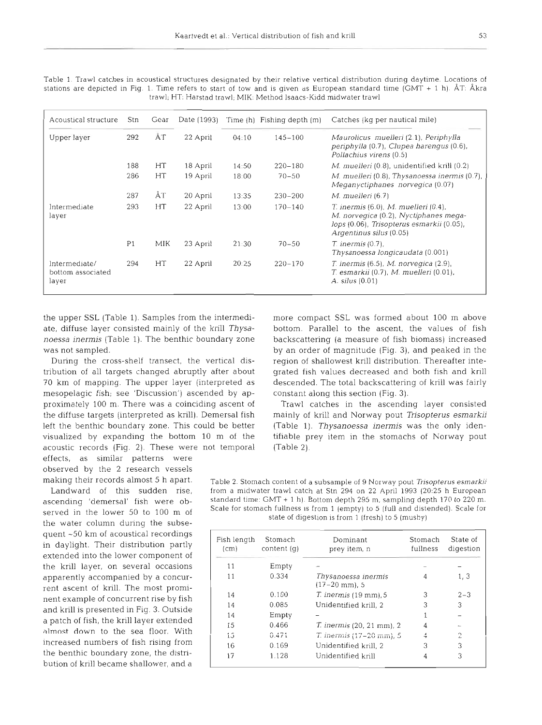| Acoustical structure                        | Stn            | Gear | Date (1993) |       | Time (h) Fishing depth (m) | Catches (kg per nautical mile)                                                                                                                                |
|---------------------------------------------|----------------|------|-------------|-------|----------------------------|---------------------------------------------------------------------------------------------------------------------------------------------------------------|
| Upper layer                                 | 292            | ÅТ   | 22 April    | 04:10 | $145 - 100$                | Maurolicus muelleri (2.1), Periphylla<br>periphylla (0.7), Clupea harengus (0.6),<br>Pollachius virens (0.5)                                                  |
|                                             | 188            | HT   | 18 April    | 14:50 | $220 - 180$                | <i>M. muelleri</i> (0.8), unidentified krill (0.2)                                                                                                            |
|                                             | 286            | HT   | 19 April    | 18:00 | $70 - 50$                  | M. muelleri (0.8), Thysanoessa inermis (0.7),<br>Meganyctiphanes norvegica (0.07)                                                                             |
|                                             | 287            | ÅΤ   | 20 April    | 13:35 | $230 - 200$                | M. muelleri (6.7)                                                                                                                                             |
| Intermediate<br>layer                       | 293            | HT   | 22 April    | 13:00 | $170 - 140$                | $T.$ inermis $(6.0)$ , M. muelleri $(0.4)$ ,<br>M. norvegica (0.2), Nyctiphanes mega-<br>lops (0.06), Trisopterus esmarkii (0.05),<br>Argentinus silus (0.05) |
|                                             | P <sub>1</sub> | MIK  | 23 April    | 21:30 | $70 - 50$                  | $T.$ inermis $(0.7)$ ,<br>Thysanoessa longicaudata (0.001)                                                                                                    |
| Intermediate/<br>bottom associated<br>layer | 294            | HT   | 22 April    | 20:25 | $220 - 170$                | $T.$ inermis (6.5), M. norvegica (2.9),<br>T. esmarkii (0.7), M. muelleri (0.01),<br>A. silus (0.01)                                                          |

Table 1. Trawl catches in acoustical structures designated by their relative vertical distribution during daytime. Locations of stations are depicted in Fig. 1. Time refers to start of tow and is given as European standard time (GMT + 1 h). AT: Akra trawl; HT: Harstad trawl; MIK: Method Isaacs-Kidd midwater trawl

the upper SSL (Table 1). Samples from the intermedi- more compact SSL was formed about 100 m above

mesopelagic fish; see 'Discussion') ascended by ap- constant along this section (Fig. **3).**  acoustic records (Fig. 2). These were not temporal (Table 2). effects, as similar patterns were

observed by the 2 research vessels

the krill layer, on several occasions apparently accompanied by a concurrent ascent of krill. The most prominent example of concurrent rise by fish and krill is presented in Fig. **3.** Outside a patch of fish, the krill layer extended almost down to the sea floor. With increased numbers of fish rising from the benthic boundary zone, the distnbution of krill became shallower, and a

the water column during the subse-

quent -50 km of acoustical recordings in daylight. Their distribution partly extended into the lower component of

ate, diffuse layer consisted mainly of the krill *Thysa-* bottom. Parallel to the ascent, the values of fish *noessa inermis* (Table 1). The benthic boundary zone backscattering (a measure of fish biomass) increased was not sampled. by an order of magnitude (Fig. 3), and peaked in the During the cross-shelf transect, the vertical dis- region of shallowest krill distribution. Thereafter intetribution of all targets changed abruptly after about grated fish values decreased and both fish and krill 70 km of mapping. The upper layer (interpreted as descended. The total backscattering of knll was fairly

proximately 100 m. There was a coinciding ascent of Trawl catches in the ascending layer consisted the diffuse targets (interpreted as krill). Demersal fish mainly of krill and Norway pout *Trisopterus esmarkii*  left the benthic boundary zone. This could be better (Table 1). *Thysanoessa inermis* was the only idenvisualized by expanding the bottom 10 m of the tifiable prey item in the stomachs of Norway pout

making their records almost 5 h apart. Table 2. Stomach content of a subsample of 9 Norway pout *Trlsopterus esmarkii*  Landward of this sudden rise, from a midwater trawl catch at Stn 294 on 22 April 1993 (20:25 h European ascending 'demersal' fish were ob-<br>standard time: GMT + 1 h). Bottom depth 295 m, sampling depth 170 to 220 m. served in the lower 50 to 100 m of Scale for stomach fullness is from 1 (empty) to 5 (full and distended). Scale for state of digestion is from 1 (fresh) to 5 (mushy)

| Fish length<br>(c <sub>m</sub> ) | Stomach<br>content(q) | Dominant<br>prey item, n               | Stomach<br>fullness | State of<br>digestion |
|----------------------------------|-----------------------|----------------------------------------|---------------------|-----------------------|
| 11                               | Empty                 |                                        |                     |                       |
| 11                               | 0.334                 | Thysanoessa inermis<br>$(17-20$ mm), 5 |                     | 1, 3                  |
| 14                               | 0.100                 | $T.$ inermis $(19 \text{ mm})$ , 5     | 3                   | $2 - 3$               |
| 14                               | 0.085                 | Unidentified krill, 2                  | 3                   | 3                     |
| 14                               | Empty                 |                                        |                     |                       |
| 15                               | 0.466                 | <i>T. inermis</i> (20, 21 mm), 2       | 4                   |                       |
| 15                               | 0.471                 | T. inermis (17-20 mm), 5               | 4                   | 2                     |
| 16                               | 0.169                 | Unidentified krill, 2                  | 3                   | 3                     |
| 17                               | 1.128                 | Unidentified krill                     | 4                   | 3                     |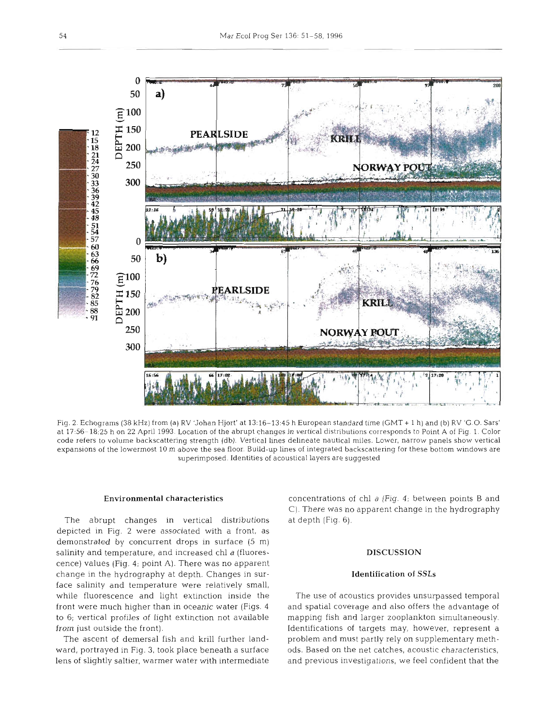

Fig. 2. Echograms (38 **kHz)** from (a) RV 'Johan Hjort' at 13:16-13.45 h European standard time (GMT + 1 h) and (b) RV 'G 0. Sars' at 1756-18:25 h on 22 April 1993. Location of the abrupt changes in vertical distributions corresponds to Point A of Fig. 1. Color code refers to volume backscattering strength (db). Vertical lines delineate nautical miles. Lower, narrow panels show vertical expansions of the lowermost 10 m above the sea floor. Build-up lines of integrated backscattering for these bottom windows are superimposed. Identities of acoustical layers are suggested

The abrupt changes in vertical distributions at depth (Fig. 6). depicted in Fig. 2 were associated with a front, as demonstrated by concurrent drops in surface (5 m) salinity and temperature, and increased chl a (fluores-  $DISCUSSION$ cence) values (Fig. 4; point A). There was no apparent change in the hydrography at depth. Changes in sur- Identification of SSLs face salinity and temperature were relatively small, while fluorescence and light extinction inside the The use of acoustics provides unsurpassed temporal front were much higher than In oceanic water (Figs. **4** and spatial coverage and also offers the advantage of to 6; vertical profiles of light extinction not available mapping fish and larger zooplankton simultaneously. from just outside the front). Identifications of targets may, however, represent a

ward, portrayed in Fig. 3, took place beneath a surface ods. Based on the net catches, acoustic characteristics, lens of slightly saltier, warmer water with intermediate and previous investigations, we feel confident that the

Environmental characteristics concentrations of chl a (Fig. **4;** between points B and C). There was no apparent change in the hydrography

The ascent of demersal fish and krill further land- problem and must partly rely on supplementary meth-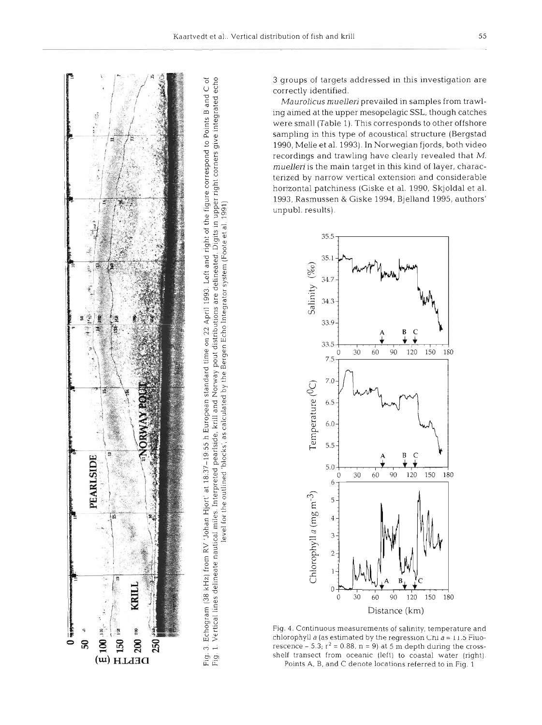



level for the outlined 'blocks', as calculated by the Bergen Echo Integrator system (Foote et al. 1991) Equation for the Derivation of the Derivation of the Derivation (Foote et al. 1991) Equation (Foote et al. 1991) Equat level for the outlined "blocks', as calculated by the Bergen Echo Integrator system (Foote et al. 1991)

3 groups of targets addressed in this investigation are correctly identified.

Maurolicus muelleri prevailed in samples from trawling aimed at the upper mesopelagic SSL, though catches were small (Table 1). This corresponds to other offshore sampling in this type of acoustical structure (Bergstad 1990, Melle et al. 1993). In Norwegian fjords, both video recordings and trawling have clearly revealed that M. muelleri is the main target in this kind of layer, characterized by narrow vertical extension and considerable horizontal patchiness (Giske et al. 1990, Skjoldal et al. 1993, Rasmussen & Giske 1994, Bjelland 1995, authors' unpubl. results).



Fig. 4. Continuous measurements of salinity, temperature and chlorophyll a (as estimated by the regression Chi  $a = 11.5$  Fluorescence  $-5.3$ ;  $r^2 = 0.88$ , n = 9) at 5 m depth during the crossshelf transect from oceanic (left) to coastal water (right). Points A, B, and C denote locations referred to in Fig. 1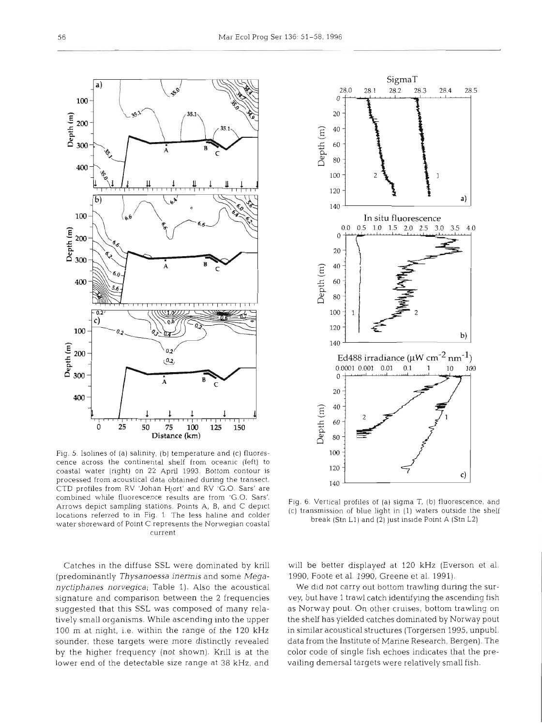



Fig. 5. Isolines of (a) salinity, (b) temperature and (c) fluorescence across the continental shelf from oceanic (left) to coastal water (right) on 22 April 1993. Bottom contour is processed from acoustical data obtained during the transect. CTD profiles from RV 'Johan Hjort' and RV 'G.O. Sars' are combined while fluorescence results are from 'G.O. Sars'. Arrows depict sampling stations. Points A, B, and C deplct locations referred to in Fig. 1 The less haline and colder water shoreward of Point C represents the Norwegian coastal current

Catches in the diffuse SSL were dominated by krill (predominantly *Thysanoessa inermis* and some *Meganyctiphanes norvegica;* Table *1).* Also the acoustical signature and comparison between the 2 frequencies suggested that this SSL was composed of many relatively small organisms. While ascending into the upper 100 m at night, i.e. within the range of the 120 **kHz**  sounder, these targets were more distinctly revealed by the higher frequency (not shown). Krill is at the lower end of the detectable size range at 38 kHz, and

Fig. 6. Vertical profiles of (a) sigma T, (b) fluorescence, and (C] transmission of blue light in (1) waters outside the break (Stn L1) and **(2)** just inslde Point A (Stn L2)

will be better displayed at 120 **kHz** (Everson et al. 1990, Foote et al. 1990, Greene et al. 1991).

We did not carry out bottom trawling during the survey, but have 1 trawl catch identifying the ascending fish as Norway pout. On other cruises, bottom trawling on the shelf has yielded catches dominated by Norway pout in similar acoustical structures (Torgersen 1995, unpubl. data from the Institute of Marine Research, Bergen). The color code of single fish echoes indicates that the prevailing demersal targets were relatively small fish.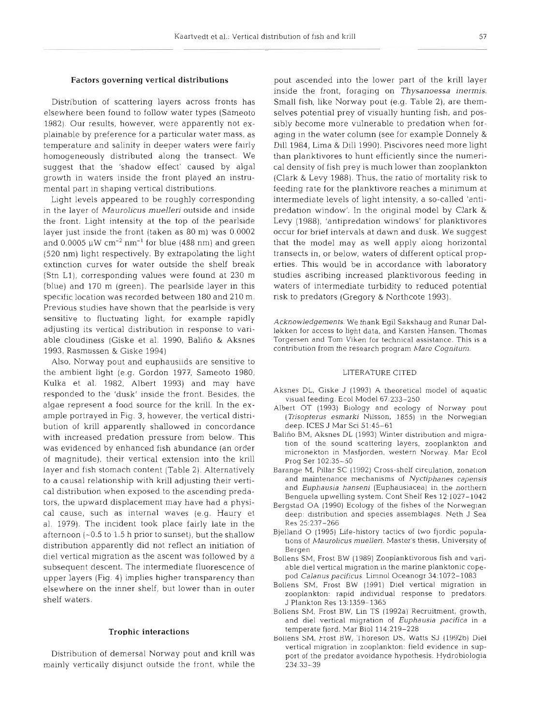### Factors governing vertical distributions

Distribution of scattering layers across fronts has elsewhere been found to follow water types (Sameoto 1982). Our results, however, were apparently not explainable by preference for a particular water mass, as temperature and salinity in deeper waters were fairly homogeneously distributed along the transect. We suggest that the 'shadow effect' caused by algal growth in waters inside the front played an instrumental part in shaping vertical distributions.

Light levels appeared to be roughly corresponding in the layer of *Maurolicus muellerj* outside and inside the front. Light intensity at the top of the pearlside layer just inside the front (taken as 80 m) was 0.0002 and  $0.0005~\rm \upmu W~cm^{-2}~nm^{-1}$  for blue (488 nm) and green (520 nm) light respectively. By extrapolating the light extinction curves for water outside the shelf break (Stn L1), corresponding values were found at 230 m (blue) and 170 m (green). The pearlside layer in this specific location was recorded between 180 and 210 m. Previous studies have shown that the pearlside is very sensitive to fluctuating light, for example rapidly adjusting its vertical distribution in response to variable cloudiness (Giske et al. 1990, Balifio & Aksnes 1993, Rasmussen & Giske 1994)

Also, Norway pout and euphausiids are sensitive to the ambient light (e.g. Gordon 1977, Sameoto 1980, Kulka et al. 1982, Albert 1993) and may have responded to the 'dusk' inside the front. Besides, the algae represent a food source for the krill. In the example portrayed in Fig. 3, however, the vertical distribution of krill apparently shallowed in concordance with increased predation pressure from below. This was evidenced by enhanced fish abundance (an order of magnitude), their vertical extension into the krill layer and fish stomach content (Table 2). Alternatively to a causal relationship with krill adjusting their vertical distribution when exposed to the ascending predators, the upward displacement may have had a physical cause, such as internal waves (e.g. Haury et al. 1979). The incident took place fairly late in the afternoon  $(-0.5$  to 1.5 h prior to sunset), but the shallow distribution apparently did not reflect an initiation of die1 vertical migration as the ascent was followed by a subsequent descent. The intermediate fluorescence of upper layers (Fig. 4) implies higher transparency than elsewhere on the inner shelf, but lower than in outer shelf waters.

# Trophic interactions

Distribution of demersal Norway pout and krill was mainly vertically disjunct outside the front, while the

pout ascended into the lower part of the krill layer inside the front, foraging on *Thysanoessa inermis.*  Small fish, like Norway pout (e.g. Table 2), are themselves potential prey of visually hunting fish, and possibly become more vulnerable to predation when foraging in the water column (see for example Donnely & Dill 1984, Lima & Dill 1990). Piscivores need more light than planktivores to hunt efficiently since the numerical density of fish prey is much lower than zooplankton (Clark & Levy 1988). Thus, the ratio of mortality risk to feeding rate for the planktivore reaches a minimum at intermediate levels of light intensity, a so-called 'antipredation window'. In the original model by Clark & Levy (1988), 'antipredation windows' for planktivores occur for brief intervals at dawn and dusk. We suggest that the model may as well apply along horizontal transects in, or below, waters of different optical properties. This would be in accordance with laboratory studies ascribing increased planktivorous feeding in waters of intermediate turbidity to reduced potential risk to predators (Gregory & Northcote 1993).

Acknowledgements. We thank Egil Sakshaug and Runar Dalløkken for access to light data, and Karsten Hansen, Thomas Torgersen and Tom Viken for technical assistance. This is a contribution from the research program Mare Cognitum.

### LITERATURE CITED

- Aksnes DL, Giske J (1993) A theoretical model of aquatic visual feeding. Ecol Model 67:233-250
- Albert OT (1993) Biology and ecology of Norway pout (Trisopterus esmarki Nilsson, 1855) in the Norwegian deep. ICES J Mar Sci 51:45-61
- Baliño BM, Aksnes DL (1993) Winter distribution and migration of the sound scattering layers, zooplankton and micronekton in Masijorden, western Norway. Mar Ecol Prog Ser 102:35-50
- Barange bl. Pillar SC (1992) Cross-shelf circulation, zonation and maintenance mechanisms of Nyctiphanes capensis and Euphausia hanseni (Euphausiacea) in the northern Benguela upwelling system. Cont Shelf Res 12:1027-1042
- Bergstad OA (1990) Ecology of the fishes of the Norwegian deep: distribution and species assemblages. Neth J Sea Res 25:237-266
- Bjelland O (1995) Life-history tactics of two fjordic populations of Maurolicus muelleri. Master's thesis, University of Bergen
- Bollens SM, Frost BW (1989) Zooplanktivorous fish and variable die1 vertical migration in the marine planktonic copepod Calanus pacificus. Limnol Oceanogr 34:1072- 1083
- Bollens SM. Frost BW (1991) Die1 vertical migration in zooplankton: rapid individual response to predators. J Plankton Res 13:1359-1365
- Bollens SM, Frost BW, Lin TS (1992a) Recruitment, growth, and diel vertical migration of Euphausia pacifica in a temperate fjord. Mar Biol 114:219-228
- Bollens SM, host BW, 'l'horeson US, Watts SJ (1992b) Die1 vertical migration in zooplankton: field evidence in support of the predator avoidance hypothesis. Hydrobiologia 234 33-39